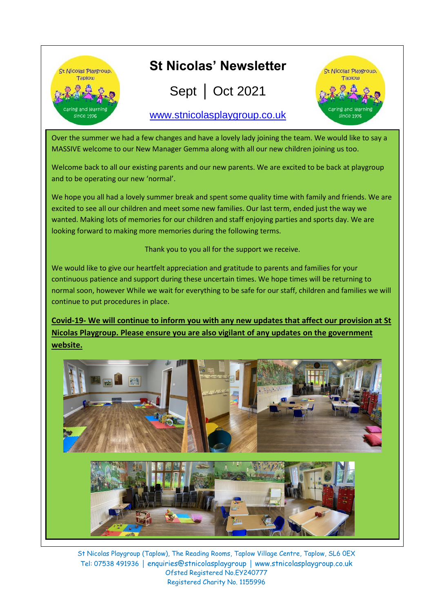

Over the summer we had a few changes and have a lovely lady joining the team. We would like to say a MASSIVE welcome to our New Manager Gemma along with all our new children joining us too.

Welcome back to all our existing parents and our new parents. We are excited to be back at playgroup and to be operating our new 'normal'.

We hope you all had a lovely summer break and spent some quality time with family and friends. We are excited to see all our children and meet some new families. Our last term, ended just the way we wanted. Making lots of memories for our children and staff enjoying parties and sports day. We are looking forward to making more memories during the following terms.

Thank you to you all for the support we receive.

We would like to give our heartfelt appreciation and gratitude to parents and families for your continuous patience and support during these uncertain times. We hope times will be returning to normal soon, however While we wait for everything to be safe for our staff, children and families we will continue to put procedures in place.

**Covid-19- We will continue to inform you with any new updates that affect our provision at St Nicolas Playgroup. Please ensure you are also vigilant of any updates on the government website.** 

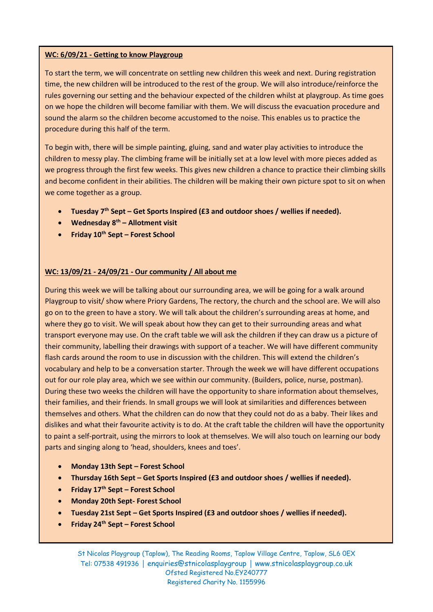#### **WC: 6/09/21 - Getting to know Playgroup**

To start the term, we will concentrate on settling new children this week and next. During registration time, the new children will be introduced to the rest of the group. We will also introduce/reinforce the rules governing our setting and the behaviour expected of the children whilst at playgroup. As time goes on we hope the children will become familiar with them. We will discuss the evacuation procedure and sound the alarm so the children become accustomed to the noise. This enables us to practice the procedure during this half of the term.

To begin with, there will be simple painting, gluing, sand and water play activities to introduce the children to messy play. The climbing frame will be initially set at a low level with more pieces added as we progress through the first few weeks. This gives new children a chance to practice their climbing skills and become confident in their abilities. The children will be making their own picture spot to sit on when we come together as a group.

- **Tuesday 7th Sept – Get Sports Inspired (£3 and outdoor shoes / wellies if needed).**
- **Wednesday 8th – Allotment visit**
- **Friday 10th Sept – Forest School**

#### **WC: 13/09/21 - 24/09/21 - Our community / All about me**

During this week we will be talking about our surrounding area, we will be going for a walk around Playgroup to visit/ show where Priory Gardens, The rectory, the church and the school are. We will also go on to the green to have a story. We will talk about the children's surrounding areas at home, and where they go to visit. We will speak about how they can get to their surrounding areas and what transport everyone may use. On the craft table we will ask the children if they can draw us a picture of their community, labelling their drawings with support of a teacher. We will have different community flash cards around the room to use in discussion with the children. This will extend the children's vocabulary and help to be a conversation starter. Through the week we will have different occupations out for our role play area, which we see within our community. (Builders, police, nurse, postman). During these two weeks the children will have the opportunity to share information about themselves, their families, and their friends. In small groups we will look at similarities and differences between themselves and others. What the children can do now that they could not do as a baby. Their likes and dislikes and what their favourite activity is to do. At the craft table the children will have the opportunity to paint a self-portrait, using the mirrors to look at themselves. We will also touch on learning our body parts and singing along to 'head, shoulders, knees and toes'.

- **Monday 13th Sept – Forest School**
- **Thursday 16th Sept – Get Sports Inspired (£3 and outdoor shoes / wellies if needed).**
- **Friday 17th Sept – Forest School**
- **Monday 20th Sept- Forest School**
- **Tuesday 21st Sept – Get Sports Inspired (£3 and outdoor shoes / wellies if needed).**
- **Friday 24th Sept – Forest School**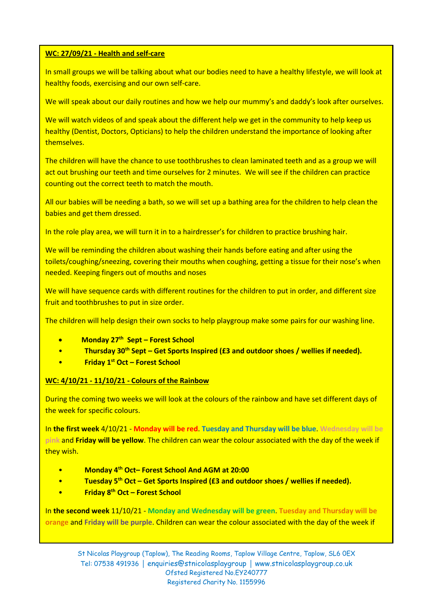#### **WC: 27/09/21 - Health and self-care**

In small groups we will be talking about what our bodies need to have a healthy lifestyle, we will look at healthy foods, exercising and our own self-care.

We will speak about our daily routines and how we help our mummy's and daddy's look after ourselves.

We will watch videos of and speak about the different help we get in the community to help keep us healthy (Dentist, Doctors, Opticians) to help the children understand the importance of looking after themselves.

The children will have the chance to use toothbrushes to clean laminated teeth and as a group we will act out brushing our teeth and time ourselves for 2 minutes. We will see if the children can practice counting out the correct teeth to match the mouth.

All our babies will be needing a bath, so we will set up a bathing area for the children to help clean the babies and get them dressed.

In the role play area, we will turn it in to a hairdresser's for children to practice brushing hair.

We will be reminding the children about washing their hands before eating and after using the toilets/coughing/sneezing, covering their mouths when coughing, getting a tissue for their nose's when needed. Keeping fingers out of mouths and noses

We will have sequence cards with different routines for the children to put in order, and different size fruit and toothbrushes to put in size order.

The children will help design their own socks to help playgroup make some pairs for our washing line.

- **Monday 27 th Sept – Forest School**
- **Thursday 30th Sept – Get Sports Inspired (£3 and outdoor shoes / wellies if needed).**
- **Friday 1st Oct – Forest School**

#### **WC: 4/10/21 - 11/10/21 - Colours of the Rainbow**

During the coming two weeks we will look at the colours of the rainbow and have set different days of the week for specific colours.

In **the first week** 4/10/21 - **Monday will be red**. **Tuesday and Thursday will be blue**. **Wednesday will be pink** and **Friday will be yellow**. The children can wear the colour associated with the day of the week if they wish.

- **Monday 4th Oct– Forest School And AGM at 20:00**
- **Tuesday 5th Oct – Get Sports Inspired (£3 and outdoor shoes / wellies if needed).**
- **Friday 8th Oct – Forest School**

In **the second week** 11/10/21 - **Monday and Wednesday will be green**. **Tuesday and Thursday will be orange** and **Friday will be purple**. Children can wear the colour associated with the day of the week if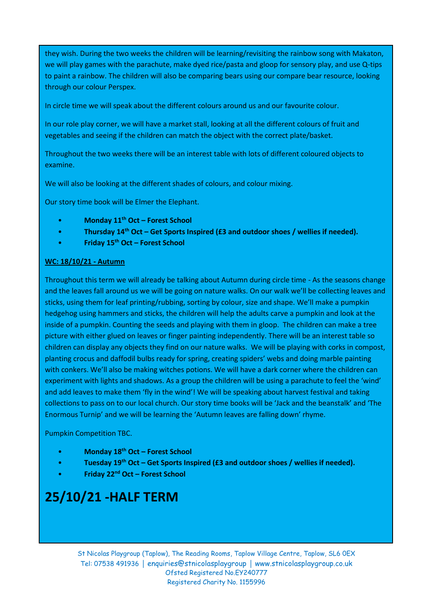they wish. During the two weeks the children will be learning/revisiting the rainbow song with Makaton, we will play games with the parachute, make dyed rice/pasta and gloop for sensory play, and use Q-tips to paint a rainbow. The children will also be comparing bears using our compare bear resource, looking through our colour Perspex.

In circle time we will speak about the different colours around us and our favourite colour.

In our role play corner, we will have a market stall, looking at all the different colours of fruit and vegetables and seeing if the children can match the object with the correct plate/basket.

Throughout the two weeks there will be an interest table with lots of different coloured objects to examine.

We will also be looking at the different shades of colours, and colour mixing.

Our story time book will be Elmer the Elephant.

- **Monday 11th Oct – Forest School**
- **Thursday 14th Oct – Get Sports Inspired (£3 and outdoor shoes / wellies if needed).**
- **Friday 15th Oct – Forest School**

#### **WC: 18/10/21 - Autumn**

Throughout this term we will already be talking about Autumn during circle time - As the seasons change and the leaves fall around us we will be going on nature walks. On our walk we'll be collecting leaves and sticks, using them for leaf printing/rubbing, sorting by colour, size and shape. We'll make a pumpkin hedgehog using hammers and sticks, the children will help the adults carve a pumpkin and look at the inside of a pumpkin. Counting the seeds and playing with them in gloop. The children can make a tree picture with either glued on leaves or finger painting independently. There will be an interest table so children can display any objects they find on our nature walks. We will be playing with corks in compost, planting crocus and daffodil bulbs ready for spring, creating spiders' webs and doing marble painting with conkers. We'll also be making witches potions. We will have a dark corner where the children can experiment with lights and shadows. As a group the children will be using a parachute to feel the 'wind' and add leaves to make them 'fly in the wind'! We will be speaking about harvest festival and taking collections to pass on to our local church. Our story time books will be 'Jack and the beanstalk' and 'The Enormous Turnip' and we will be learning the 'Autumn leaves are falling down' rhyme.

Pumpkin Competition TBC.

- **Monday 18th Oct – Forest School**
- **Tuesday 19th Oct – Get Sports Inspired (£3 and outdoor shoes / wellies if needed).**
- **Friday 22nd Oct – Forest School**

# **25/10/21 -HALF TERM**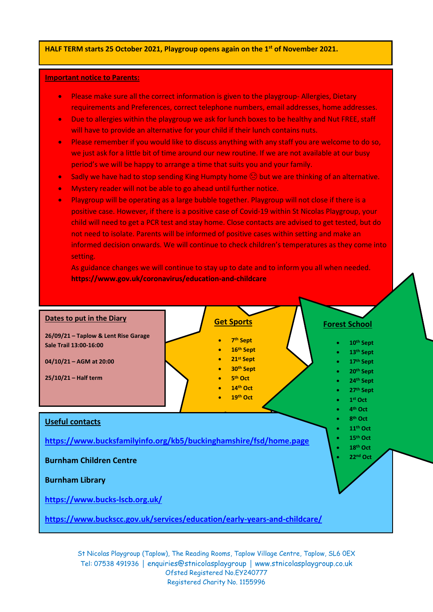#### **HALF TERM starts 25 October 2021, Playgroup opens again on the 1 st of November 2021.**

#### **Important notice to Parents:**

- Please make sure all the correct information is given to the playgroup- Allergies, Dietary requirements and Preferences, correct telephone numbers, email addresses, home addresses.
- Due to allergies within the playgroup we ask for lunch boxes to be healthy and Nut FREE, staff will have to provide an alternative for your child if their lunch contains nuts.
- Please remember if you would like to discuss anything with any staff you are welcome to do so, we just ask for a little bit of time around our new routine. If we are not available at our busy period's we will be happy to arrange a time that suits you and your family.
- Sadly we have had to stop sending King Humpty home  $\bigcirc$  but we are thinking of an alternative.
- Mystery reader will not be able to go ahead until further notice.
- Playgroup will be operating as a large bubble together. Playgroup will not close if there is a positive case. However, if there is a positive case of Covid-19 within St Nicolas Playgroup, your child will need to get a PCR test and stay home. Close contacts are advised to get tested, but do not need to isolate. Parents will be informed of positive cases within setting and make an informed decision onwards. We will continue to check children's temperatures as they come into setting.

As guidance changes we will continue to stay up to date and to inform you all when needed. **https://www.gov.uk/coronavirus/education-and-childcare**

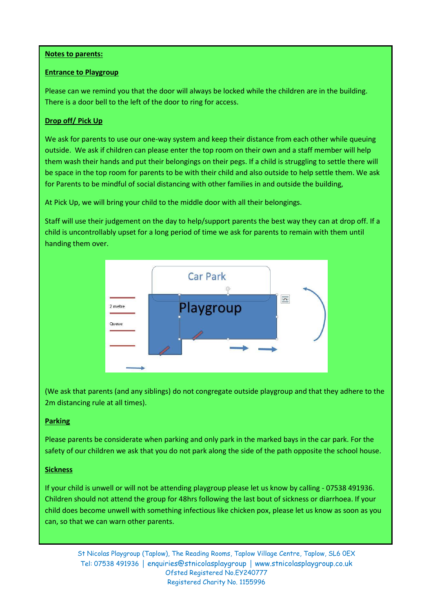#### **Notes to parents:**

#### **Entrance to Playgroup**

There is a door bell to the left of the door to ring for access.<br>There is a door bell to the left of the door to ring for access. Please can we remind you that the door will always be locked while the children are in the building.

#### **Drop off/ Pick Up**

we ask for parents to ase our one way system and keep their distance from each other while queant<br>outside. We ask if children can please enter the top room on their own and a staff member will help them wash their hands and put their belongings on their pegs. If a child is struggling to settle there will for Parents to be mindful of social distancing with other families in and outside the building, We ask for parents to use our one-way system and keep their distance from each other while queuing be space in the top room for parents to be with their child and also outside to help settle them. We ask

At Pick Up, we will bring your child to the middle door with all their belongings.

Staff will use their judgement on the day to help/support parents the best way they can at drop off. If a child is uncontrollably upset for a long period of time we ask for parents to remain with them until handing them over.



(We ask that parents (and any siblings) do not congregate outside playgroup and that they adhere to the 2m distancing rule at all times).

#### **Parking**

Please parents be considerate when parking and only park in the marked bays in the car park. For the safety of our children we ask that you do not park along the side of the path opposite the school house.

#### **Sickness**

If your child is unwell or will not be attending playgroup please let us know by calling - 07538 491936. Children should not attend the group for 48hrs following the last bout of sickness or diarrhoea. If your child does become unwell with something infectious like chicken pox, please let us know as soon as you can, so that we can warn other parents.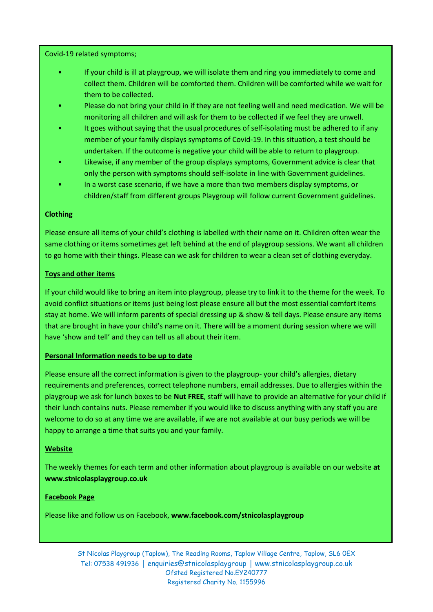Covid-19 related symptoms;

- If your child is ill at playgroup, we will isolate them and ring you immediately to come and collect them. Children will be comforted them. Children will be comforted while we wait for them to be collected.
- Please do not bring your child in if they are not feeling well and need medication. We will be monitoring all children and will ask for them to be collected if we feel they are unwell.
- It goes without saying that the usual procedures of self-isolating must be adhered to if any member of your family displays symptoms of Covid-19. In this situation, a test should be undertaken. If the outcome is negative your child will be able to return to playgroup.
- Likewise, if any member of the group displays symptoms, Government advice is clear that only the person with symptoms should self-isolate in line with Government guidelines.
- In a worst case scenario, if we have a more than two members display symptoms, or children/staff from different groups Playgroup will follow current Government guidelines.

#### **Clothing**

Please ensure all items of your child's clothing is labelled with their name on it. Children often wear the same clothing or items sometimes get left behind at the end of playgroup sessions. We want all children to go home with their things. Please can we ask for children to wear a clean set of clothing everyday.

#### **Toys and other items**

If your child would like to bring an item into playgroup, please try to link it to the theme for the week. To avoid conflict situations or items just being lost please ensure all but the most essential comfort items stay at home. We will inform parents of special dressing up & show & tell days. Please ensure any items that are brought in have your child's name on it. There will be a moment during session where we will have 'show and tell' and they can tell us all about their item.

#### **Personal Information needs to be up to date**

Please ensure all the correct information is given to the playgroup- your child's allergies, dietary requirements and preferences, correct telephone numbers, email addresses. Due to allergies within the playgroup we ask for lunch boxes to be **Nut FREE**, staff will have to provide an alternative for your child if their lunch contains nuts. Please remember if you would like to discuss anything with any staff you are welcome to do so at any time we are available, if we are not available at our busy periods we will be happy to arrange a time that suits you and your family.

#### **Website**

The weekly themes for each term and other information about playgroup is available on our website **at www.stnicolasplaygroup.co.uk**

#### **Facebook Page**

Please like and follow us on Facebook, **www.facebook.com/stnicolasplaygroup**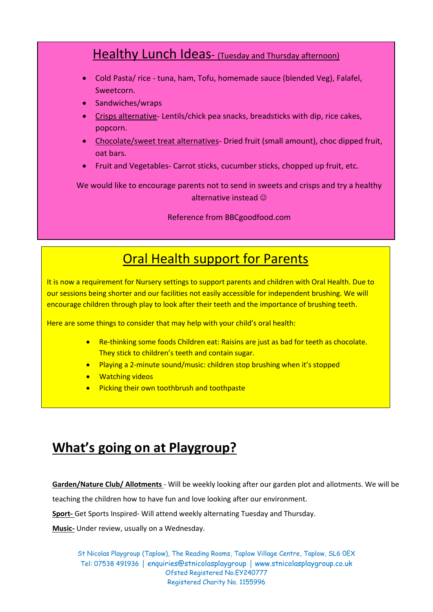### Healthy Lunch Ideas- (Tuesday and Thursday afternoon)

- Cold Pasta/ rice tuna, ham, Tofu, homemade sauce (blended Veg), Falafel, Sweetcorn.
- Sandwiches/wraps
- Crisps alternative- Lentils/chick pea snacks, breadsticks with dip, rice cakes, popcorn.
- Chocolate/sweet treat alternatives- Dried fruit (small amount), choc dipped fruit, oat bars.
- Fruit and Vegetables- Carrot sticks, cucumber sticks, chopped up fruit, etc.

We would like to encourage parents not to send in sweets and crisps and try a healthy alternative instead

Reference from BBCgoodfood.com

## Oral Health support for Parents

It is now a requirement for Nursery settings to support parents and children with Oral Health. Due to our sessions being shorter and our facilities not easily accessible for independent brushing. We will encourage children through play to look after their teeth and the importance of brushing teeth.

Here are some things to consider that may help with your child's oral health:

- Re-thinking some foods Children eat: Raisins are just as bad for teeth as chocolate. They stick to children's teeth and contain sugar.
- Playing a 2-minute sound/music: children stop brushing when it's stopped
- **•** Watching videos
- **•** Picking their own toothbrush and toothpaste

# **What's going on at Playgroup?**

**Garden/Nature Club/ Allotments** - Will be weekly looking after our garden plot and allotments. We will be

teaching the children how to have fun and love looking after our environment.

**Sport-** Get Sports Inspired- Will attend weekly alternating Tuesday and Thursday.

**Music-** Under review, usually on a Wednesday.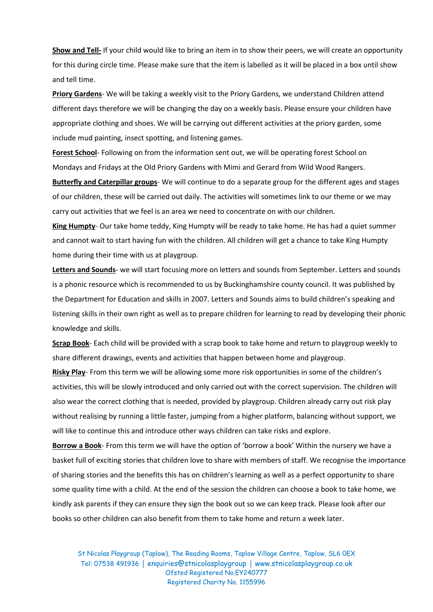**Show and Tell-** If your child would like to bring an item in to show their peers, we will create an opportunity for this during circle time. Please make sure that the item is labelled as it will be placed in a box until show and tell time.

**Priory Gardens**- We will be taking a weekly visit to the Priory Gardens, we understand Children attend different days therefore we will be changing the day on a weekly basis. Please ensure your children have appropriate clothing and shoes. We will be carrying out different activities at the priory garden, some include mud painting, insect spotting, and listening games.

**Forest School**- Following on from the information sent out, we will be operating forest School on Mondays and Fridays at the Old Priory Gardens with Mimi and Gerard from Wild Wood Rangers.

**Butterfly and Caterpillar groups**- We will continue to do a separate group for the different ages and stages of our children, these will be carried out daily. The activities will sometimes link to our theme or we may carry out activities that we feel is an area we need to concentrate on with our children.

**King Humpty**- Our take home teddy, King Humpty will be ready to take home. He has had a quiet summer and cannot wait to start having fun with the children. All children will get a chance to take King Humpty home during their time with us at playgroup.

**Letters and Sounds**- we will start focusing more on letters and sounds from September. Letters and sounds is a phonic resource which is recommended to us by Buckinghamshire county council. It was published by the Department for Education and skills in 2007. Letters and Sounds aims to build children's speaking and listening skills in their own right as well as to prepare children for learning to read by developing their phonic knowledge and skills.

**Scrap Book**- Each child will be provided with a scrap book to take home and return to playgroup weekly to share different drawings, events and activities that happen between home and playgroup.

**Risky Play**- From this term we will be allowing some more risk opportunities in some of the children's activities, this will be slowly introduced and only carried out with the correct supervision. The children will also wear the correct clothing that is needed, provided by playgroup. Children already carry out risk play without realising by running a little faster, jumping from a higher platform, balancing without support, we will like to continue this and introduce other ways children can take risks and explore.

**Borrow a Book**- From this term we will have the option of 'borrow a book' Within the nursery we have a basket full of exciting stories that children love to share with members of staff. We recognise the importance of sharing stories and the benefits this has on children's learning as well as a perfect opportunity to share some quality time with a child. At the end of the session the children can choose a book to take home, we kindly ask parents if they can ensure they sign the book out so we can keep track. Please look after our books so other children can also benefit from them to take home and return a week later.